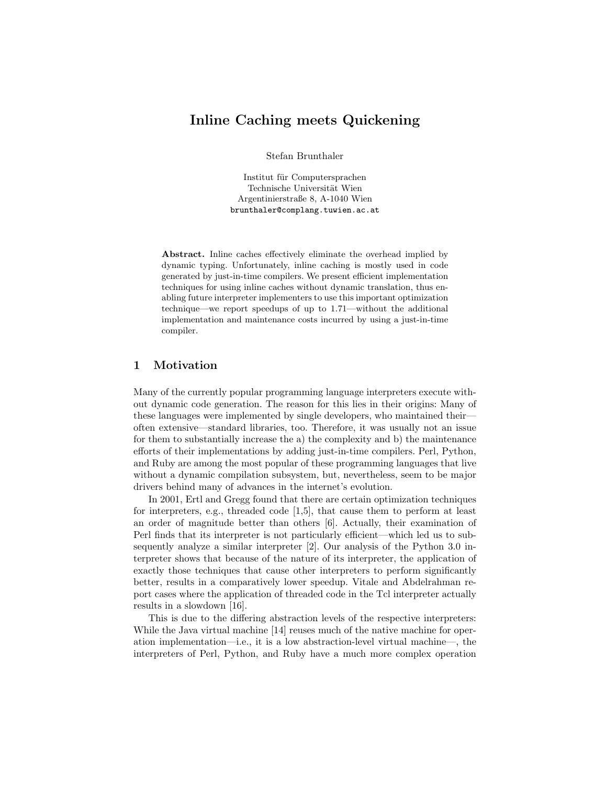# Inline Caching meets Quickening

Stefan Brunthaler

Institut für Computersprachen Technische Universität Wien Argentinierstraße 8, A-1040 Wien brunthaler@complang.tuwien.ac.at

Abstract. Inline caches effectively eliminate the overhead implied by dynamic typing. Unfortunately, inline caching is mostly used in code generated by just-in-time compilers. We present efficient implementation techniques for using inline caches without dynamic translation, thus enabling future interpreter implementers to use this important optimization technique—we report speedups of up to 1.71—without the additional implementation and maintenance costs incurred by using a just-in-time compiler.

### 1 Motivation

Many of the currently popular programming language interpreters execute without dynamic code generation. The reason for this lies in their origins: Many of these languages were implemented by single developers, who maintained their often extensive—standard libraries, too. Therefore, it was usually not an issue for them to substantially increase the a) the complexity and b) the maintenance efforts of their implementations by adding just-in-time compilers. Perl, Python, and Ruby are among the most popular of these programming languages that live without a dynamic compilation subsystem, but, nevertheless, seem to be major drivers behind many of advances in the internet's evolution.

In 2001, Ertl and Gregg found that there are certain optimization techniques for interpreters, e.g., threaded code [1,5], that cause them to perform at least an order of magnitude better than others [6]. Actually, their examination of Perl finds that its interpreter is not particularly efficient—which led us to subsequently analyze a similar interpreter [2]. Our analysis of the Python 3.0 interpreter shows that because of the nature of its interpreter, the application of exactly those techniques that cause other interpreters to perform significantly better, results in a comparatively lower speedup. Vitale and Abdelrahman report cases where the application of threaded code in the Tcl interpreter actually results in a slowdown [16].

This is due to the differing abstraction levels of the respective interpreters: While the Java virtual machine [14] reuses much of the native machine for operation implementation—i.e., it is a low abstraction-level virtual machine—, the interpreters of Perl, Python, and Ruby have a much more complex operation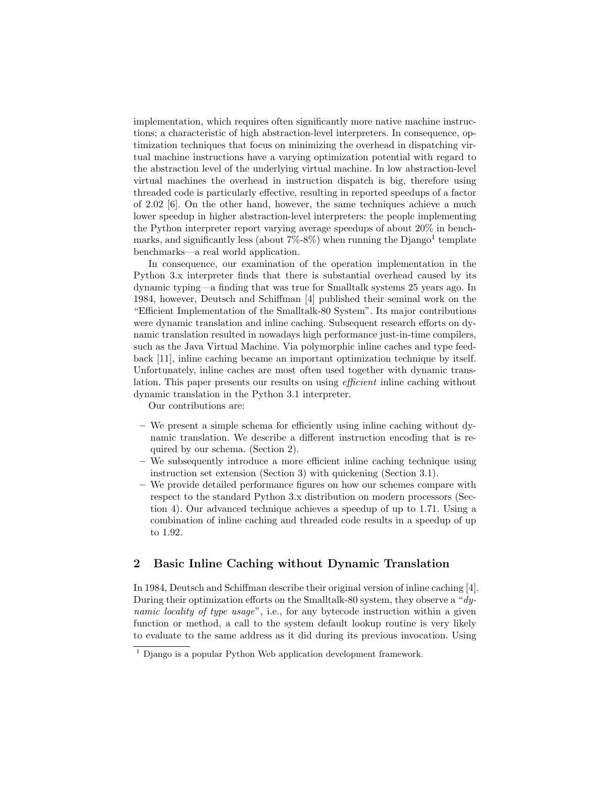implementation, which requires often significantly more native machine instructions; a characteristic of high abstraction-level interpreters. In consequence, optimization techniques that focus on minimizing the overhead in dispatching virtual machine instructions have a varying optimization potential with regard to the abstraction level of the underlying virtual machine. In low abstraction-level virtual machines the overhead in instruction dispatch is big, therefore using threaded code is particularly effective, resulting in reported speedups of a factor of 2.02 [6]. On the other hand, however, the same techniques achieve a much lower speedup in higher abstraction-level interpreters: the people implementing the Python interpreter report varying average speedups of about  $20\%$  in benchmarks, and significantly less (about  $7\% - 8\%$ ) when running the Django<sup>1</sup> template benchmarks—a real world application.

In consequence, our examination of the operation implementation in the Python 3.x interpreter finds that there is substantial overhead caused by its dynamic typing—a finding that was true for Smalltalk systems 25 years ago. In 1984, however, Deutsch and Schiffman [4] published their seminal work on the "Efficient Implementation of the Smalltalk-80 System". Its major contributions were dynamic translation and inline caching. Subsequent research efforts on dynamic translation resulted in nowadays high performance just-in-time compilers, such as the Java Virtual Machine. Via polymorphic inline caches and type feedback [11], inline caching became an important optimization technique by itself. Unfortunately, inline caches are most often used together with dynamic translation. This paper presents our results on using *efficient* inline caching without dynamic translation in the Python 3.1 interpreter.

Our contributions are:

- We present a simple schema for efficiently using inline caching without dynamic translation. We describe a different instruction encoding that is required by our schema. (Section 2).
- We subsequently introduce a more efficient inline caching technique using instruction set extension (Section 3) with quickening (Section 3.1).
- We provide detailed performance figures on how our schemes compare with respect to the standard Python 3.x distribution on modern processors (Section 4). Our advanced technique achieves a speedup of up to 1.71. Using a combination of inline caching and threaded code results in a speedup of up to 1.92.

### 2 Basic Inline Caching without Dynamic Translation

In 1984, Deutsch and Schiffman describe their original version of inline caching [4]. During their optimization efforts on the Smalltalk-80 system, they observe a "dynamic locality of type usage", i.e., for any bytecode instruction within a given function or method, a call to the system default lookup routine is very likely to evaluate to the same address as it did during its previous invocation. Using

 $<sup>1</sup>$  Django is a popular Python Web application development framework.</sup>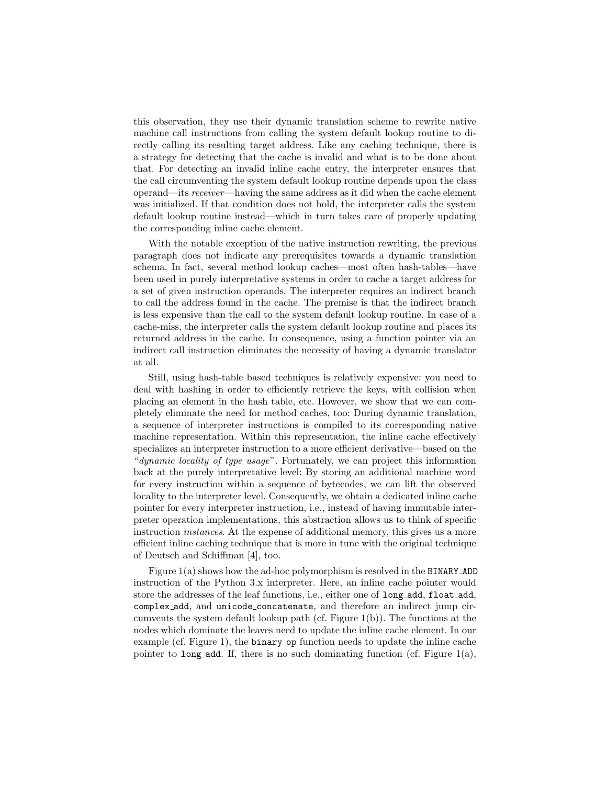this observation, they use their dynamic translation scheme to rewrite native machine call instructions from calling the system default lookup routine to directly calling its resulting target address. Like any caching technique, there is a strategy for detecting that the cache is invalid and what is to be done about that. For detecting an invalid inline cache entry, the interpreter ensures that the call circumventing the system default lookup routine depends upon the class operand—its receiver—having the same address as it did when the cache element was initialized. If that condition does not hold, the interpreter calls the system default lookup routine instead—which in turn takes care of properly updating the corresponding inline cache element.

With the notable exception of the native instruction rewriting, the previous paragraph does not indicate any prerequisites towards a dynamic translation schema. In fact, several method lookup caches—most often hash-tables—have been used in purely interpretative systems in order to cache a target address for a set of given instruction operands. The interpreter requires an indirect branch to call the address found in the cache. The premise is that the indirect branch is less expensive than the call to the system default lookup routine. In case of a cache-miss, the interpreter calls the system default lookup routine and places its returned address in the cache. In consequence, using a function pointer via an indirect call instruction eliminates the necessity of having a dynamic translator at all.

Still, using hash-table based techniques is relatively expensive: you need to deal with hashing in order to efficiently retrieve the keys, with collision when placing an element in the hash table, etc. However, we show that we can completely eliminate the need for method caches, too: During dynamic translation, a sequence of interpreter instructions is compiled to its corresponding native machine representation. Within this representation, the inline cache effectively specializes an interpreter instruction to a more efficient derivative—based on the "dynamic locality of type usage". Fortunately, we can project this information back at the purely interpretative level: By storing an additional machine word for every instruction within a sequence of bytecodes, we can lift the observed locality to the interpreter level. Consequently, we obtain a dedicated inline cache pointer for every interpreter instruction, i.e., instead of having immutable interpreter operation implementations, this abstraction allows us to think of specific instruction *instances*. At the expense of additional memory, this gives us a more efficient inline caching technique that is more in tune with the original technique of Deutsch and Schiffman [4], too.

Figure 1(a) shows how the ad-hoc polymorphism is resolved in the BINARY ADD instruction of the Python 3.x interpreter. Here, an inline cache pointer would store the addresses of the leaf functions, i.e., either one of long add, float add, complex add, and unicode concatenate, and therefore an indirect jump circumvents the system default lookup path (cf. Figure 1(b)). The functions at the nodes which dominate the leaves need to update the inline cache element. In our example (cf. Figure 1), the binary op function needs to update the inline cache pointer to long add. If, there is no such dominating function (cf. Figure  $1(a)$ ,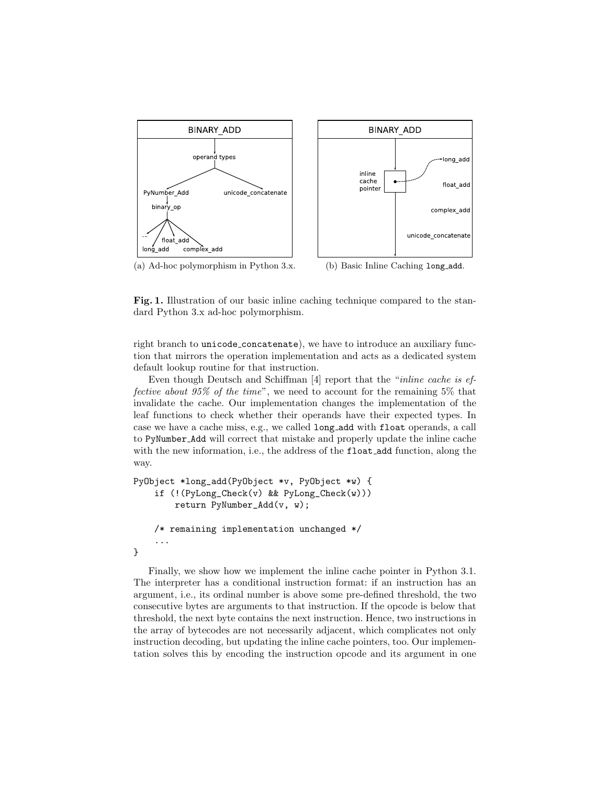



(a) Ad-hoc polymorphism in Python 3.x. (b) Basic Inline Caching long\_add.

Fig. 1. Illustration of our basic inline caching technique compared to the standard Python 3.x ad-hoc polymorphism.

right branch to unicode concatenate), we have to introduce an auxiliary function that mirrors the operation implementation and acts as a dedicated system default lookup routine for that instruction.

Even though Deutsch and Schiffman [4] report that the "inline cache is effective about  $95\%$  of the time", we need to account for the remaining  $5\%$  that invalidate the cache. Our implementation changes the implementation of the leaf functions to check whether their operands have their expected types. In case we have a cache miss, e.g., we called long add with float operands, a call to PyNumber Add will correct that mistake and properly update the inline cache with the new information, i.e., the address of the float add function, along the way.

```
PyObject *long_add(PyObject *v, PyObject *w) {
    if (!(PyLong_Check(v) && PyLong_Check(w)))
        return PyNumber_Add(v, w);
    /* remaining implementation unchanged */
    ...
}
```
Finally, we show how we implement the inline cache pointer in Python 3.1. The interpreter has a conditional instruction format: if an instruction has an argument, i.e., its ordinal number is above some pre-defined threshold, the two consecutive bytes are arguments to that instruction. If the opcode is below that threshold, the next byte contains the next instruction. Hence, two instructions in the array of bytecodes are not necessarily adjacent, which complicates not only instruction decoding, but updating the inline cache pointers, too. Our implementation solves this by encoding the instruction opcode and its argument in one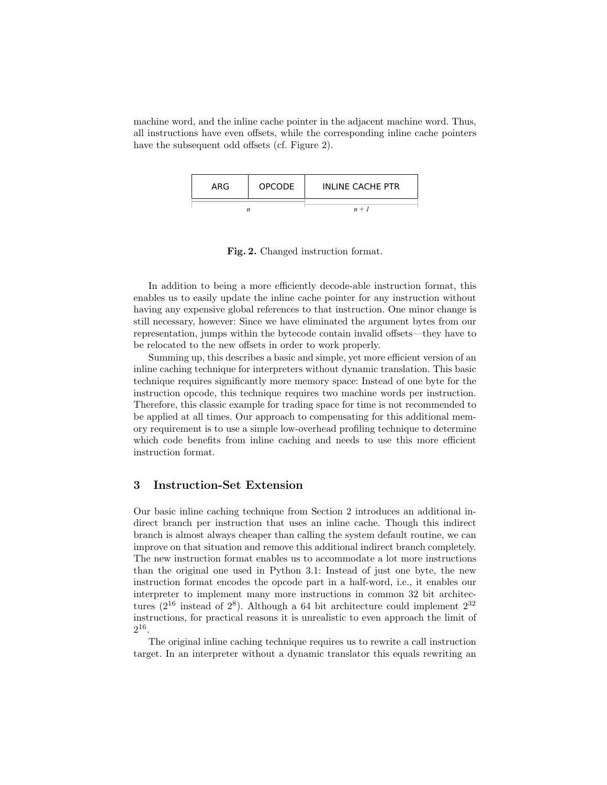machine word, and the inline cache pointer in the adjacent machine word. Thus, all instructions have even offsets, while the corresponding inline cache pointers have the subsequent odd offsets (cf. Figure 2).

| ARG | OPCODE | <b>INLINE CACHE PTR</b> |
|-----|--------|-------------------------|
|     |        | $n + 1$                 |

Fig. 2. Changed instruction format.

In addition to being a more efficiently decode-able instruction format, this enables us to easily update the inline cache pointer for any instruction without having any expensive global references to that instruction. One minor change is still necessary, however: Since we have eliminated the argument bytes from our representation, jumps within the bytecode contain invalid offsets—they have to be relocated to the new offsets in order to work properly.

Summing up, this describes a basic and simple, yet more efficient version of an inline caching technique for interpreters without dynamic translation. This basic technique requires significantly more memory space: Instead of one byte for the instruction opcode, this technique requires two machine words per instruction. Therefore, this classic example for trading space for time is not recommended to be applied at all times. Our approach to compensating for this additional memory requirement is to use a simple low-overhead profiling technique to determine which code benefits from inline caching and needs to use this more efficient instruction format.

### 3 Instruction-Set Extension

Our basic inline caching technique from Section 2 introduces an additional indirect branch per instruction that uses an inline cache. Though this indirect branch is almost always cheaper than calling the system default routine, we can improve on that situation and remove this additional indirect branch completely. The new instruction format enables us to accommodate a lot more instructions than the original one used in Python 3.1: Instead of just one byte, the new instruction format encodes the opcode part in a half-word, i.e., it enables our interpreter to implement many more instructions in common 32 bit architectures ( $2^{16}$  instead of  $2^8$ ). Although a 64 bit architecture could implement  $2^{32}$ instructions, for practical reasons it is unrealistic to even approach the limit of  $2^{16}$ .

The original inline caching technique requires us to rewrite a call instruction target. In an interpreter without a dynamic translator this equals rewriting an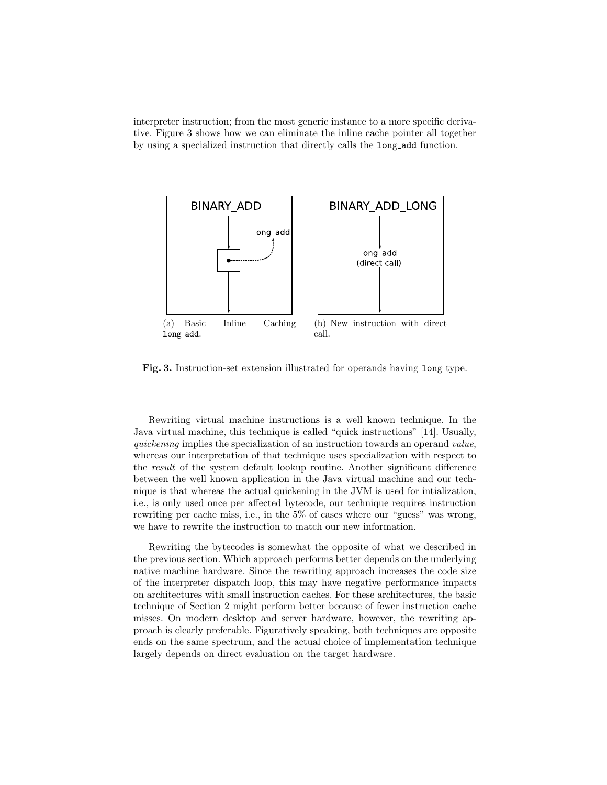interpreter instruction; from the most generic instance to a more specific derivative. Figure 3 shows how we can eliminate the inline cache pointer all together by using a specialized instruction that directly calls the long add function.



Fig. 3. Instruction-set extension illustrated for operands having long type.

Rewriting virtual machine instructions is a well known technique. In the Java virtual machine, this technique is called "quick instructions" [14]. Usually, quickening implies the specialization of an instruction towards an operand value, whereas our interpretation of that technique uses specialization with respect to the result of the system default lookup routine. Another significant difference between the well known application in the Java virtual machine and our technique is that whereas the actual quickening in the JVM is used for intialization, i.e., is only used once per affected bytecode, our technique requires instruction rewriting per cache miss, i.e., in the  $5\%$  of cases where our "guess" was wrong, we have to rewrite the instruction to match our new information.

Rewriting the bytecodes is somewhat the opposite of what we described in the previous section. Which approach performs better depends on the underlying native machine hardware. Since the rewriting approach increases the code size of the interpreter dispatch loop, this may have negative performance impacts on architectures with small instruction caches. For these architectures, the basic technique of Section 2 might perform better because of fewer instruction cache misses. On modern desktop and server hardware, however, the rewriting approach is clearly preferable. Figuratively speaking, both techniques are opposite ends on the same spectrum, and the actual choice of implementation technique largely depends on direct evaluation on the target hardware.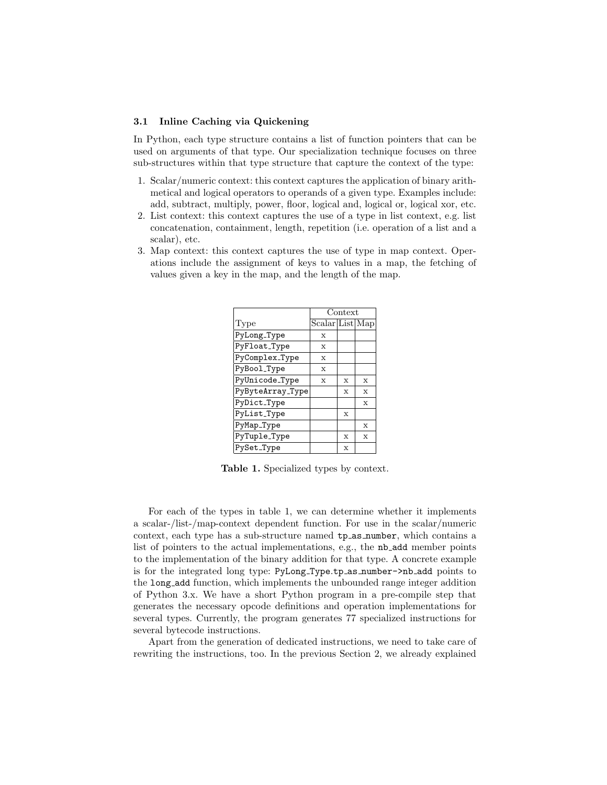#### 31 Inline Caching via Quickening

In Python, each type structure contains a list of function pointers that can be used on arguments of that type. Our specialization technique focuses on three sub-structures within that type structure that capture the context of the type:

- 1. Scalar/numeric context: this context captures the application of binary arithmetical and logical operators to operands of a given type. Examples include: add, subtract, multiply, power, floor, logical and, logical or, logical xor, etc.
- 2. List context: this context captures the use of a type in list context, e.g. list concatenation, containment, length, repetition (i.e. operation of a list and a scalar), etc.
- 3. Map context: this context captures the use of type in map context. Operations include the assignment of keys to values in a map, the fetching of values given a key in the map, and the length of the map.

|                  | Context             |              |              |
|------------------|---------------------|--------------|--------------|
| Type             | $Scalar$ List $Map$ |              |              |
| PyLong_Type      | $\mathbf x$         |              |              |
| PyFloat_Type     | X                   |              |              |
| PyComplex_Type   | X                   |              |              |
| PyBool_Type      | X                   |              |              |
| PyUnicode_Type   | X                   | X            | X            |
| PyByteArray_Type |                     | $\mathbf x$  | $\mathbf x$  |
| PyDict_Type      |                     |              | $\mathbf{x}$ |
| PyList_Type      |                     | $\mathbf x$  |              |
| PyMap_Type       |                     |              | $\mathbf x$  |
| PyTuple_Type     |                     | $\mathbf{x}$ | $\mathbf x$  |
| PySet_Type       |                     | $\mathbf x$  |              |

Table 1. Specialized types by context.

For each of the types in table 1, we can determine whether it implements a scalar-/list-/map-context dependent function. For use in the scalar/numeric context, each type has a sub-structure named tp as number, which contains a list of pointers to the actual implementations, e.g., the nb add member points to the implementation of the binary addition for that type. A concrete example is for the integrated long type: PyLong Type.tp as number->nb add points to the long add function, which implements the unbounded range integer addition of Python 3.x. We have a short Python program in a pre-compile step that generates the necessary opcode definitions and operation implementations for several types. Currently, the program generates 77 specialized instructions for several bytecode instructions.

Apart from the generation of dedicated instructions, we need to take care of rewriting the instructions, too. In the previous Section 2, we already explained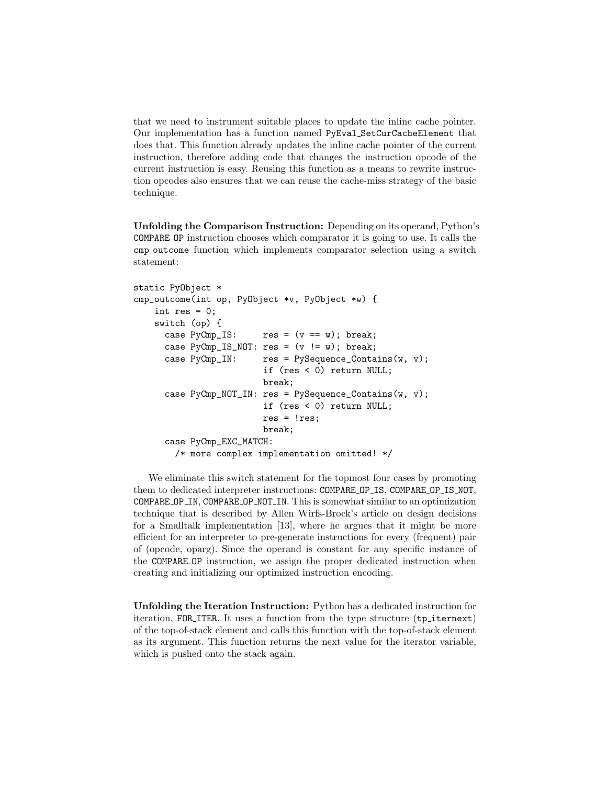that we need to instrument suitable places to update the inline cache pointer. Our implementation has a function named PyEval SetCurCacheElement that does that. This function already updates the inline cache pointer of the current instruction, therefore adding code that changes the instruction opcode of the current instruction is easy. Reusing this function as a means to rewrite instruction opcodes also ensures that we can reuse the cache-miss strategy of the basic technique.

Unfolding the Comparison Instruction: Depending on its operand, Python's COMPARE OP instruction chooses which comparator it is going to use. It calls the cmp outcome function which implements comparator selection using a switch statement:

```
static PyObject *
cmp_outcome(int op, PyObject *v, PyObject *w) {
    int res = 0;
    switch (op) {
     case PyCmp_IS: res = (v == w); break;
     case PyCmp_IS_NOT: res = (v := w); break;
     case PyComp\_IN: res = PySequence\_contains(w, v);if (res < 0) return NULL;
                         break;
     case PyComp_NOT_IN: res = PySequence_Container(w, v);if (res < 0) return NULL;
                         res = !res;break;
      case PyCmp_EXC_MATCH:
       /* more complex implementation omitted! */
```
We eliminate this switch statement for the topmost four cases by promoting them to dedicated interpreter instructions: COMPARE OP IS, COMPARE OP IS NOT, COMPARE OP IN, COMPARE OP NOT IN. This is somewhat similar to an optimization technique that is described by Allen Wirfs-Brock's article on design decisions for a Smalltalk implementation [13], where he argues that it might be more efficient for an interpreter to pre-generate instructions for every (frequent) pair of (opcode, oparg). Since the operand is constant for any specific instance of the COMPARE OP instruction, we assign the proper dedicated instruction when creating and initializing our optimized instruction encoding.

Unfolding the Iteration Instruction: Python has a dedicated instruction for iteration, FOR\_ITER. It uses a function from the type structure (tp\_iternext) of the top-of-stack element and calls this function with the top-of-stack element as its argument. This function returns the next value for the iterator variable, which is pushed onto the stack again.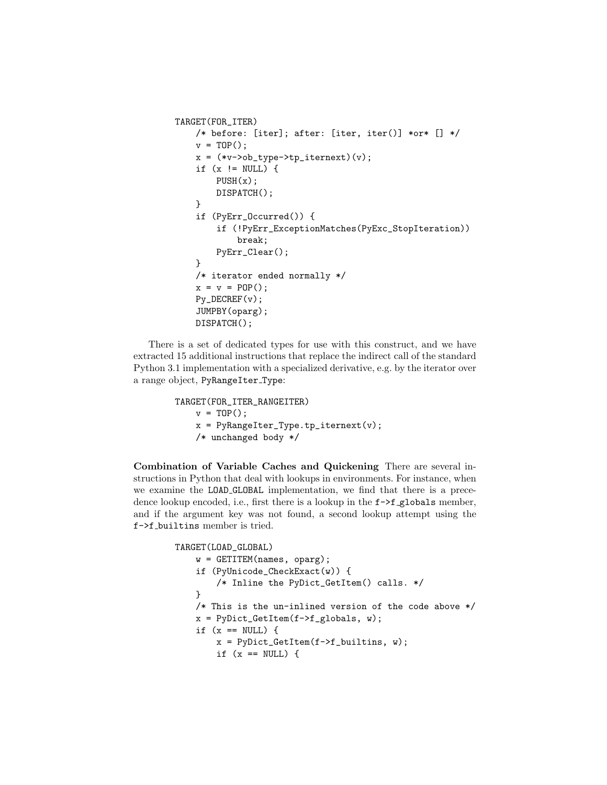```
TARGET(FOR_ITER)
    /* before: [iter]; after: [iter, iter()] *or* [] */
    v = TOP();
    x = (*v->ob_type->tp\_iternext)(v);if (x := NULL) {
        PUSH(x);
        DISPATCH();
    }
    if (PyErr_Occurred()) {
        if (!PyErr_ExceptionMatches(PyExc_StopIteration))
            break;
        PyErr_Clear();
    }
    /* iterator ended normally */
    x = v = POP();
    Py_DECREF(v);
    JUMPBY(oparg);
    DISPATCH();
```
There is a set of dedicated types for use with this construct, and we have extracted 15 additional instructions that replace the indirect call of the standard Python 3.1 implementation with a specialized derivative, e.g. by the iterator over a range object, PyRangeIter Type:

```
TARGET(FOR_ITER_RANGEITER)
    v = TOP();
   x = PyRangeIterType.tp\_iternext(v);/* unchanged body */
```
Combination of Variable Caches and Quickening There are several instructions in Python that deal with lookups in environments. For instance, when we examine the LOAD GLOBAL implementation, we find that there is a precedence lookup encoded, i.e., first there is a lookup in the  $f \rightarrow f$ -globals member, and if the argument key was not found, a second lookup attempt using the f->f builtins member is tried.

```
TARGET(LOAD_GLOBAL)
    w = GETITEM(names, oparg);
    if (PyUnicode_CheckExact(w)) {
        /* Inline the PyDict_GetItem() calls. */
    }
    /* This is the un-inlined version of the code above */
    x = PyDict_CdetItem(f->f_globals, w);if (x == NULL) {
        x = PyDict_CdetItem(f->f_builtins, w);if (x == NULL) {
```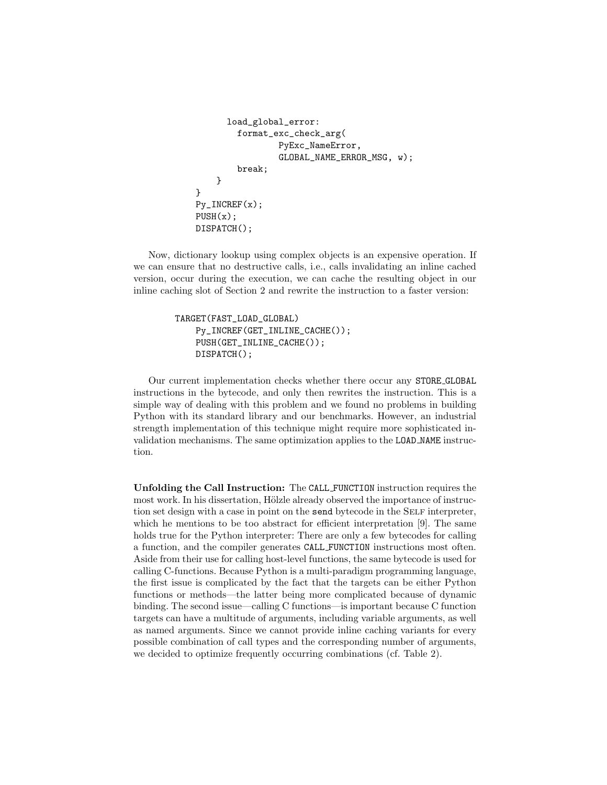```
load_global_error:
        format_exc_check_arg(
                PyExc_NameError,
                 GLOBAL_NAME_ERROR_MSG, w);
        break;
    }
}
Py_INCREF(x);
PUSH(x);
DISPATCH();
```
Now, dictionary lookup using complex objects is an expensive operation. If we can ensure that no destructive calls, i.e., calls invalidating an inline cached version, occur during the execution, we can cache the resulting object in our inline caching slot of Section 2 and rewrite the instruction to a faster version:

```
TARGET(FAST_LOAD_GLOBAL)
    Py_INCREF(GET_INLINE_CACHE());
    PUSH(GET_INLINE_CACHE());
    DISPATCH();
```
Our current implementation checks whether there occur any STORE GLOBAL instructions in the bytecode, and only then rewrites the instruction. This is a simple way of dealing with this problem and we found no problems in building Python with its standard library and our benchmarks. However, an industrial strength implementation of this technique might require more sophisticated invalidation mechanisms. The same optimization applies to the LOAD NAME instruction.

Unfolding the Call Instruction: The CALL FUNCTION instruction requires the most work. In his dissertation, Hölzle already observed the importance of instruction set design with a case in point on the send bytecode in the SELF interpreter, which he mentions to be too abstract for efficient interpretation [9]. The same holds true for the Python interpreter: There are only a few bytecodes for calling a function, and the compiler generates CALL FUNCTION instructions most often. Aside from their use for calling host-level functions, the same bytecode is used for calling C-functions. Because Python is a multi-paradigm programming language, the first issue is complicated by the fact that the targets can be either Python functions or methods—the latter being more complicated because of dynamic binding. The second issue—calling C functions—is important because C function targets can have a multitude of arguments, including variable arguments, as well as named arguments. Since we cannot provide inline caching variants for every possible combination of call types and the corresponding number of arguments, we decided to optimize frequently occurring combinations (cf. Table 2).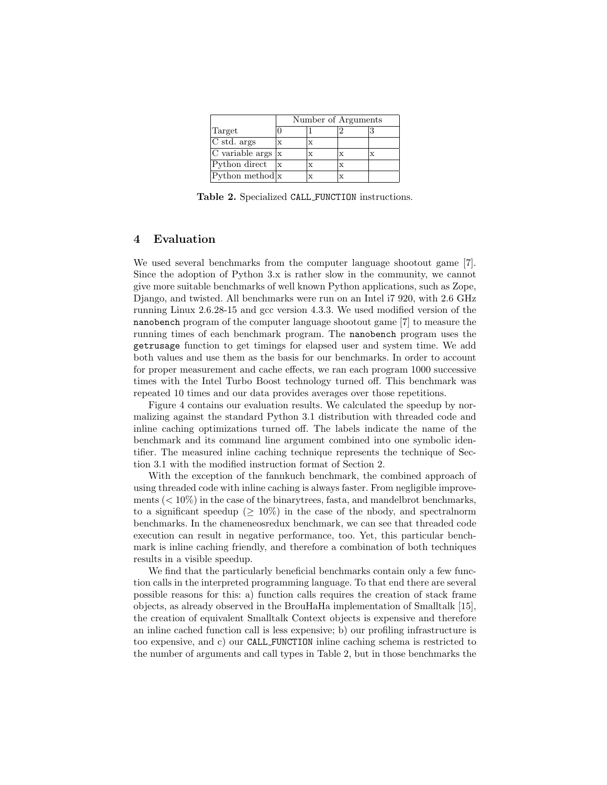|                       | Number of Arguments |   |   |  |  |  |
|-----------------------|---------------------|---|---|--|--|--|
| Target                |                     |   |   |  |  |  |
| C std. args           |                     | X |   |  |  |  |
| C variable args $ x $ |                     |   | X |  |  |  |
| Python direct         |                     | x | X |  |  |  |
| Python method $ x $   |                     |   |   |  |  |  |

Table 2. Specialized CALL\_FUNCTION instructions.

## 4 Evaluation

We used several benchmarks from the computer language shootout game [7]. Since the adoption of Python 3.x is rather slow in the community, we cannot give more suitable benchmarks of well known Python applications, such as Zope, Django, and twisted. All benchmarks were run on an Intel i7 920, with 2.6 GHz running Linux 2.6.28-15 and gcc version 4.3.3. We used modified version of the nanobench program of the computer language shootout game [7] to measure the running times of each benchmark program. The nanobench program uses the getrusage function to get timings for elapsed user and system time. We add both values and use them as the basis for our benchmarks. In order to account for proper measurement and cache effects, we ran each program 1000 successive times with the Intel Turbo Boost technology turned off. This benchmark was repeated 10 times and our data provides averages over those repetitions.

Figure 4 contains our evaluation results. We calculated the speedup by normalizing against the standard Python 3.1 distribution with threaded code and inline caching optimizations turned off. The labels indicate the name of the benchmark and its command line argument combined into one symbolic identifier. The measured inline caching technique represents the technique of Section 3.1 with the modified instruction format of Section 2.

With the exception of the fannkuch benchmark, the combined approach of using threaded code with inline caching is always faster. From negligible improvements ( $< 10\%$ ) in the case of the binarytrees, fasta, and mandelbrot benchmarks, to a significant speedup ( $\geq 10\%$ ) in the case of the nbody, and spectral norm benchmarks. In the chameneosredux benchmark, we can see that threaded code execution can result in negative performance, too. Yet, this particular benchmark is inline caching friendly, and therefore a combination of both techniques results in a visible speedup.

We find that the particularly beneficial benchmarks contain only a few function calls in the interpreted programming language. To that end there are several possible reasons for this: a) function calls requires the creation of stack frame objects, as already observed in the BrouHaHa implementation of Smalltalk [15], the creation of equivalent Smalltalk Context objects is expensive and therefore an inline cached function call is less expensive; b) our profiling infrastructure is too expensive, and c) our CALL FUNCTION inline caching schema is restricted to the number of arguments and call types in Table 2, but in those benchmarks the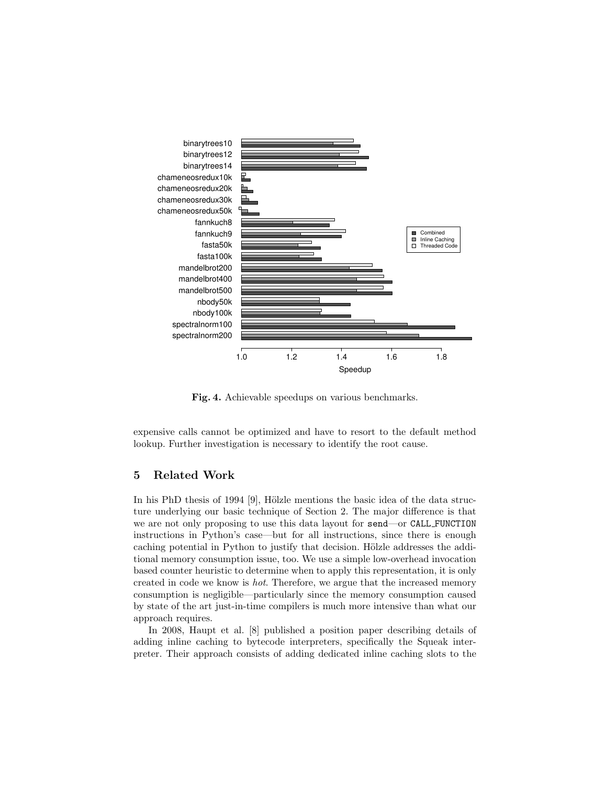

Fig. 4. Achievable speedups on various benchmarks.

expensive calls cannot be optimized and have to resort to the default method lookup. Further investigation is necessary to identify the root cause.

### 5 Related Work

In his PhD thesis of 1994 [9], Hölzle mentions the basic idea of the data structure underlying our basic technique of Section 2. The major difference is that we are not only proposing to use this data layout for send—or CALL FUNCTION instructions in Python's case—but for all instructions, since there is enough caching potential in Python to justify that decision. Hölzle addresses the additional memory consumption issue, too. We use a simple low-overhead invocation based counter heuristic to determine when to apply this representation, it is only created in code we know is hot. Therefore, we argue that the increased memory consumption is negligible—particularly since the memory consumption caused by state of the art just-in-time compilers is much more intensive than what our approach requires.

In 2008, Haupt et al. [8] published a position paper describing details of adding inline caching to bytecode interpreters, specifically the Squeak interpreter. Their approach consists of adding dedicated inline caching slots to the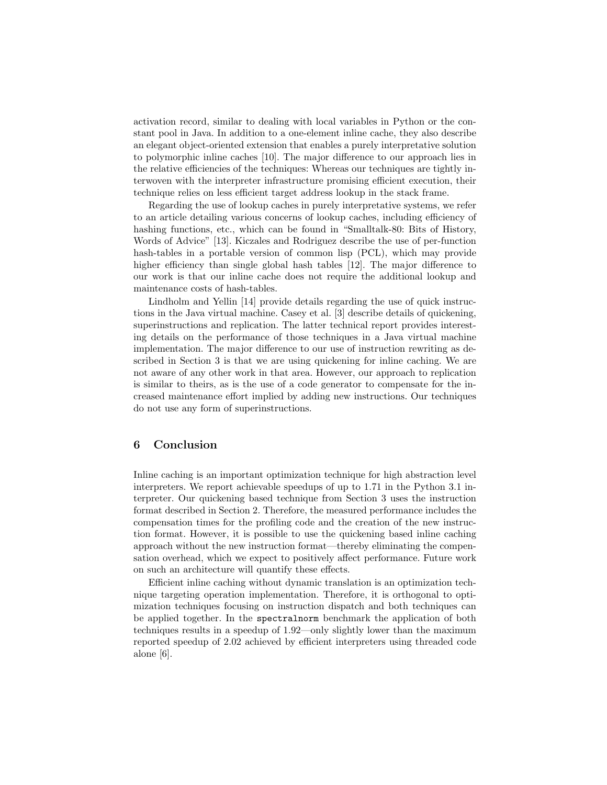activation record, similar to dealing with local variables in Python or the constant pool in Java. In addition to a one-element inline cache, they also describe an elegant object-oriented extension that enables a purely interpretative solution to polymorphic inline caches [10]. The major difference to our approach lies in the relative efficiencies of the techniques: Whereas our techniques are tightly interwoven with the interpreter infrastructure promising efficient execution, their technique relies on less efficient target address lookup in the stack frame.

Regarding the use of lookup caches in purely interpretative systems, we refer to an article detailing various concerns of lookup caches, including efficiency of hashing functions, etc., which can be found in "Smalltalk-80: Bits of History, Words of Advice" [13]. Kiczales and Rodriguez describe the use of per-function hash-tables in a portable version of common lisp (PCL), which may provide higher efficiency than single global hash tables [12]. The major difference to our work is that our inline cache does not require the additional lookup and maintenance costs of hash-tables.

Lindholm and Yellin [14] provide details regarding the use of quick instructions in the Java virtual machine. Casey et al. [3] describe details of quickening, superinstructions and replication. The latter technical report provides interesting details on the performance of those techniques in a Java virtual machine implementation. The major difference to our use of instruction rewriting as described in Section 3 is that we are using quickening for inline caching. We are not aware of any other work in that area. However, our approach to replication is similar to theirs, as is the use of a code generator to compensate for the increased maintenance effort implied by adding new instructions. Our techniques do not use any form of superinstructions.

### 6 Conclusion

Inline caching is an important optimization technique for high abstraction level interpreters. We report achievable speedups of up to 1.71 in the Python 3.1 interpreter. Our quickening based technique from Section 3 uses the instruction format described in Section 2. Therefore, the measured performance includes the compensation times for the profiling code and the creation of the new instruction format. However, it is possible to use the quickening based inline caching approach without the new instruction format—thereby eliminating the compensation overhead, which we expect to positively affect performance. Future work on such an architecture will quantify these effects.

Efficient inline caching without dynamic translation is an optimization technique targeting operation implementation. Therefore, it is orthogonal to optimization techniques focusing on instruction dispatch and both techniques can be applied together. In the spectralnorm benchmark the application of both techniques results in a speedup of 1.92—only slightly lower than the maximum reported speedup of 2.02 achieved by efficient interpreters using threaded code alone [6].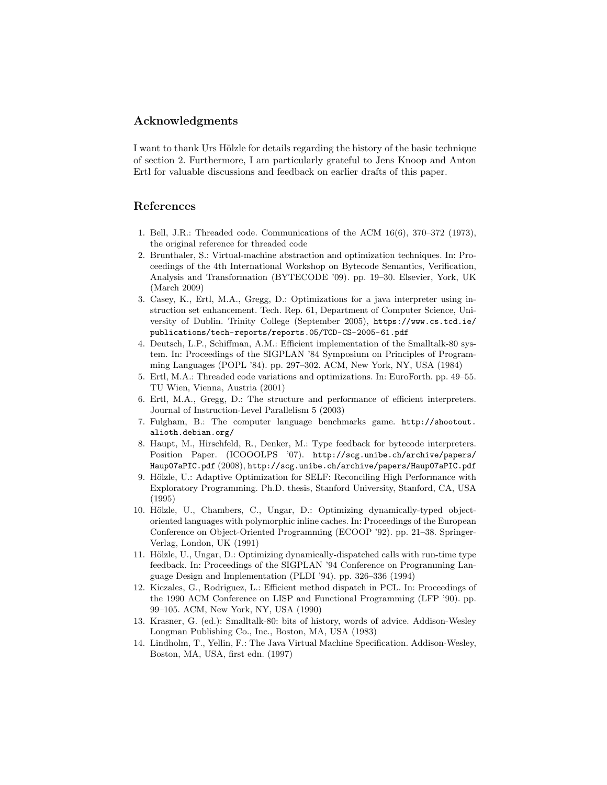### Acknowledgments

I want to thank Urs Hölzle for details regarding the history of the basic technique of section 2. Furthermore, I am particularly grateful to Jens Knoop and Anton Ertl for valuable discussions and feedback on earlier drafts of this paper.

### References

- 1. Bell, J.R.: Threaded code. Communications of the ACM 16/6), 370–372 /1973), the original reference for threaded code
- 2. Brunthaler, S.: Virtual-machine abstraction and optimization techniques. In: Proceedings of the 4th International Workshop on Bytecode Semantics, Verification, Analysis and Transformation /BYTECODE '09). pp. 19–30. Elsevier, York, UK /March 2009)
- 3. Casey, K., Ertl, M.A., Gregg, D.: Optimizations for a java interpreter using instruction set enhancement. Tech. Rep. 61, Department of Computer Science, University of Dublin. Trinity College /September 2005), https://www.cs.tcd.ie/ publications/tech-reports/reports.05/TCD-CS-2005-61.pdf
- 4. Deutsch, L.P., Schiffman, A.M.: Efficient implementation of the Smalltalk-80 system. In: Proceedings of the SIGPLAN '84 Symposium on Principles of Programming Languages /POPL '84). pp. 297–302. ACM, New York, NY, USA /1984)
- 5. Ertl, M.A.: Threaded code variations and optimizations. In: EuroForth. pp. 49–55. TU Wien, Vienna, Austria (2001)
- 6. Ertl, M.A., Gregg, D.: The structure and performance of efficient interpreters. Journal of Instruction-Level Parallelism 5 (2003)
- 7. Fulgham, B.: The computer language benchmarks game. http://shootout. alioth.debian.org/
- 8. Haupt, M., Hirschfeld, R., Denker, M.: Type feedback for bytecode interpreters. Position Paper. (ICOOOLPS '07). http://scg.unibe.ch/archive/papers/ Haup07aPIC.pdf /2008), http://scg.unibe.ch/archive/papers/Haup07aPIC.pdf
- 9. Hölzle, U.: Adaptive Optimization for SELF: Reconciling High Performance with Exploratory Programming. Ph.D. thesis, Stanford University, Stanford, CA, USA /1995)
- 10. Hölzle, U., Chambers, C., Ungar, D.: Optimizing dynamically-typed objectoriented languages with polymorphic inline caches. In: Proceedings of the European Conference on Object-Oriented Programming /ECOOP '92). pp. 21–38. Springer-Verlag, London, UK /1991)
- 11. Hölzle, U., Ungar, D.: Optimizing dynamically-dispatched calls with run-time type feedback. In: Proceedings of the SIGPLAN '94 Conference on Programming Language Design and Implementation /PLDI '94). pp. 326–336 /1994)
- 12. Kiczales, G., Rodriguez, L.: Efficient method dispatch in PCL. In: Proceedings of the 1990 ACM Conference on LISP and Functional Programming /LFP '90). pp. 99–105. ACM, New York, NY, USA /1990)
- 13. Krasner, G. (ed.): Smalltalk-80: bits of history, words of advice. Addison-Wesley Longman Publishing Co., Inc., Boston, MA, USA /1983)
- 14. Lindholm, T., Yellin, F.: The Java Virtual Machine Specification. Addison-Wesley, Boston, MA, USA, first edn. (1997)